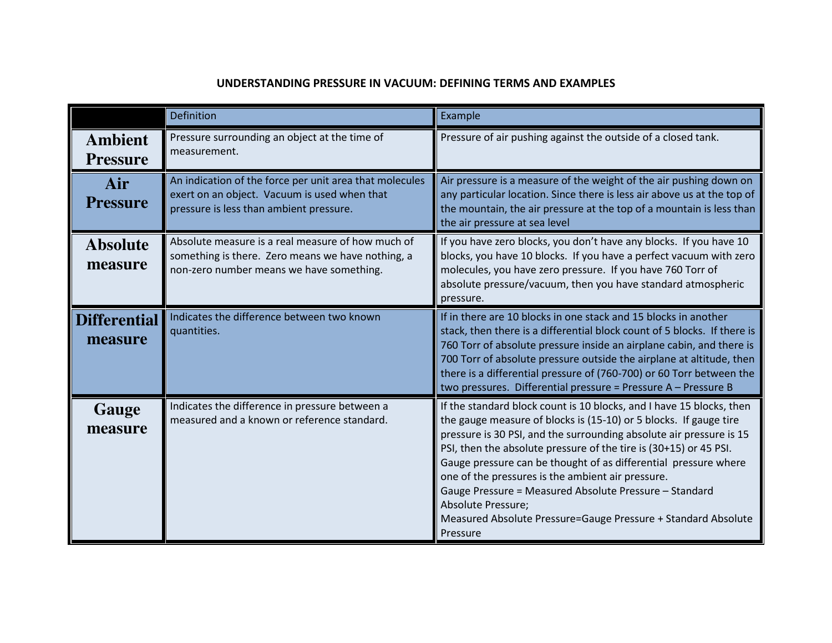## UNDERSTANDING PRESSURE IN VACUUM: DEFINING TERMS AND EXAMPLES

|                                   | <b>Definition</b>                                                                                                                                  | Example                                                                                                                                                                                                                                                                                                                                                                                                                                                                                                                                                                    |
|-----------------------------------|----------------------------------------------------------------------------------------------------------------------------------------------------|----------------------------------------------------------------------------------------------------------------------------------------------------------------------------------------------------------------------------------------------------------------------------------------------------------------------------------------------------------------------------------------------------------------------------------------------------------------------------------------------------------------------------------------------------------------------------|
| <b>Ambient</b><br><b>Pressure</b> | Pressure surrounding an object at the time of<br>measurement.                                                                                      | Pressure of air pushing against the outside of a closed tank.                                                                                                                                                                                                                                                                                                                                                                                                                                                                                                              |
| Air<br><b>Pressure</b>            | An indication of the force per unit area that molecules<br>exert on an object. Vacuum is used when that<br>pressure is less than ambient pressure. | Air pressure is a measure of the weight of the air pushing down on<br>any particular location. Since there is less air above us at the top of<br>the mountain, the air pressure at the top of a mountain is less than<br>the air pressure at sea level                                                                                                                                                                                                                                                                                                                     |
| <b>Absolute</b><br>measure        | Absolute measure is a real measure of how much of<br>something is there. Zero means we have nothing, a<br>non-zero number means we have something. | If you have zero blocks, you don't have any blocks. If you have 10<br>blocks, you have 10 blocks. If you have a perfect vacuum with zero<br>molecules, you have zero pressure. If you have 760 Torr of<br>absolute pressure/vacuum, then you have standard atmospheric<br>pressure.                                                                                                                                                                                                                                                                                        |
| <b>Differential</b><br>measure    | Indicates the difference between two known<br>quantities.                                                                                          | If in there are 10 blocks in one stack and 15 blocks in another<br>stack, then there is a differential block count of 5 blocks. If there is<br>760 Torr of absolute pressure inside an airplane cabin, and there is<br>700 Torr of absolute pressure outside the airplane at altitude, then<br>there is a differential pressure of (760-700) or 60 Torr between the<br>two pressures. Differential pressure = Pressure A - Pressure B                                                                                                                                      |
| Gauge<br>measure                  | Indicates the difference in pressure between a<br>measured and a known or reference standard.                                                      | If the standard block count is 10 blocks, and I have 15 blocks, then<br>the gauge measure of blocks is (15-10) or 5 blocks. If gauge tire<br>pressure is 30 PSI, and the surrounding absolute air pressure is 15<br>PSI, then the absolute pressure of the tire is (30+15) or 45 PSI.<br>Gauge pressure can be thought of as differential pressure where<br>one of the pressures is the ambient air pressure.<br>Gauge Pressure = Measured Absolute Pressure - Standard<br>Absolute Pressure;<br>Measured Absolute Pressure=Gauge Pressure + Standard Absolute<br>Pressure |